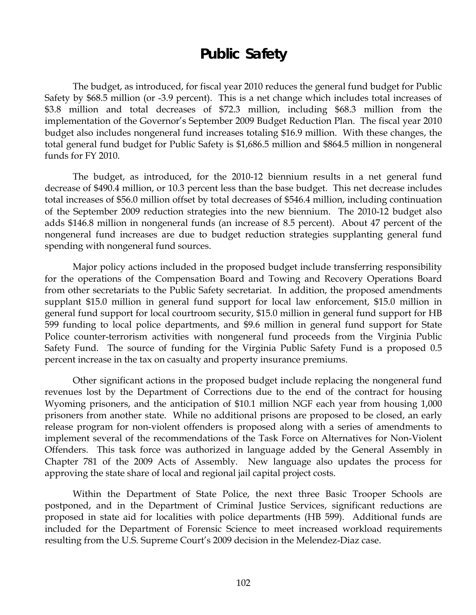# **Public Safety**

 The budget, as introduced, for fiscal year 2010 reduces the general fund budget for Public Safety by \$68.5 million (or -3.9 percent). This is a net change which includes total increases of \$3.8 million and total decreases of \$72.3 million, including \$68.3 million from the implementation of the Governor's September 2009 Budget Reduction Plan. The fiscal year 2010 budget also includes nongeneral fund increases totaling \$16.9 million. With these changes, the total general fund budget for Public Safety is \$1,686.5 million and \$864.5 million in nongeneral funds for FY 2010.

The budget, as introduced, for the 2010-12 biennium results in a net general fund decrease of \$490.4 million, or 10.3 percent less than the base budget. This net decrease includes total increases of \$56.0 million offset by total decreases of \$546.4 million, including continuation of the September 2009 reduction strategies into the new biennium. The 2010-12 budget also adds \$146.8 million in nongeneral funds (an increase of 8.5 percent). About 47 percent of the nongeneral fund increases are due to budget reduction strategies supplanting general fund spending with nongeneral fund sources.

Major policy actions included in the proposed budget include transferring responsibility for the operations of the Compensation Board and Towing and Recovery Operations Board from other secretariats to the Public Safety secretariat. In addition, the proposed amendments supplant \$15.0 million in general fund support for local law enforcement, \$15.0 million in general fund support for local courtroom security, \$15.0 million in general fund support for HB 599 funding to local police departments, and \$9.6 million in general fund support for State Police counter-terrorism activities with nongeneral fund proceeds from the Virginia Public Safety Fund. The source of funding for the Virginia Public Safety Fund is a proposed 0.5 percent increase in the tax on casualty and property insurance premiums.

Other significant actions in the proposed budget include replacing the nongeneral fund revenues lost by the Department of Corrections due to the end of the contract for housing Wyoming prisoners, and the anticipation of \$10.1 million NGF each year from housing 1,000 prisoners from another state. While no additional prisons are proposed to be closed, an early release program for non-violent offenders is proposed along with a series of amendments to implement several of the recommendations of the Task Force on Alternatives for Non-Violent Offenders. This task force was authorized in language added by the General Assembly in Chapter 781 of the 2009 Acts of Assembly. New language also updates the process for approving the state share of local and regional jail capital project costs.

Within the Department of State Police, the next three Basic Trooper Schools are postponed, and in the Department of Criminal Justice Services, significant reductions are proposed in state aid for localities with police departments (HB 599). Additional funds are included for the Department of Forensic Science to meet increased workload requirements resulting from the U.S. Supreme Court's 2009 decision in the Melendez-Diaz case.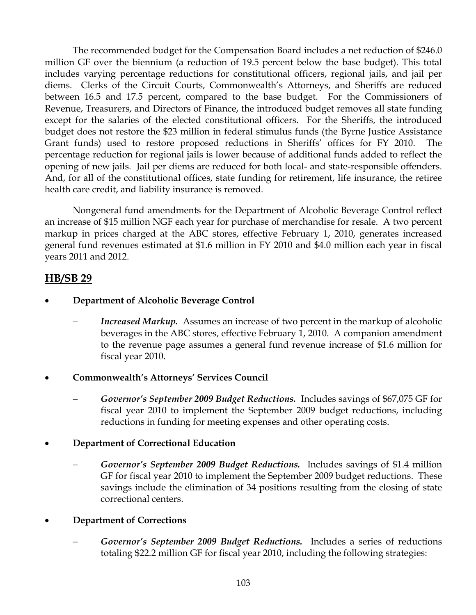The recommended budget for the Compensation Board includes a net reduction of \$246.0 million GF over the biennium (a reduction of 19.5 percent below the base budget). This total includes varying percentage reductions for constitutional officers, regional jails, and jail per diems. Clerks of the Circuit Courts, Commonwealth's Attorneys, and Sheriffs are reduced between 16.5 and 17.5 percent, compared to the base budget. For the Commissioners of Revenue, Treasurers, and Directors of Finance, the introduced budget removes all state funding except for the salaries of the elected constitutional officers. For the Sheriffs, the introduced budget does not restore the \$23 million in federal stimulus funds (the Byrne Justice Assistance Grant funds) used to restore proposed reductions in Sheriffs' offices for FY 2010. The percentage reduction for regional jails is lower because of additional funds added to reflect the opening of new jails. Jail per diems are reduced for both local- and state-responsible offenders. And, for all of the constitutional offices, state funding for retirement, life insurance, the retiree health care credit, and liability insurance is removed.

Nongeneral fund amendments for the Department of Alcoholic Beverage Control reflect an increase of \$15 million NGF each year for purchase of merchandise for resale. A two percent markup in prices charged at the ABC stores, effective February 1, 2010, generates increased general fund revenues estimated at \$1.6 million in FY 2010 and \$4.0 million each year in fiscal years 2011 and 2012.

# **HB/SB 29**

## • **Department of Alcoholic Beverage Control**

*Increased Markup.* Assumes an increase of two percent in the markup of alcoholic beverages in the ABC stores, effective February 1, 2010. A companion amendment to the revenue page assumes a general fund revenue increase of \$1.6 million for fiscal year 2010.

## • **Commonwealth's Attorneys' Services Council**

- − *Governor's September 2009 Budget Reductions.* Includes savings of \$67,075 GF for fiscal year 2010 to implement the September 2009 budget reductions, including reductions in funding for meeting expenses and other operating costs.
- **Department of Correctional Education** 
	- − *Governor's September 2009 Budget Reductions.* Includes savings of \$1.4 million GF for fiscal year 2010 to implement the September 2009 budget reductions. These savings include the elimination of 34 positions resulting from the closing of state correctional centers.

## • **Department of Corrections**

Governor's September 2009 Budget Reductions. Includes a series of reductions totaling \$22.2 million GF for fiscal year 2010, including the following strategies: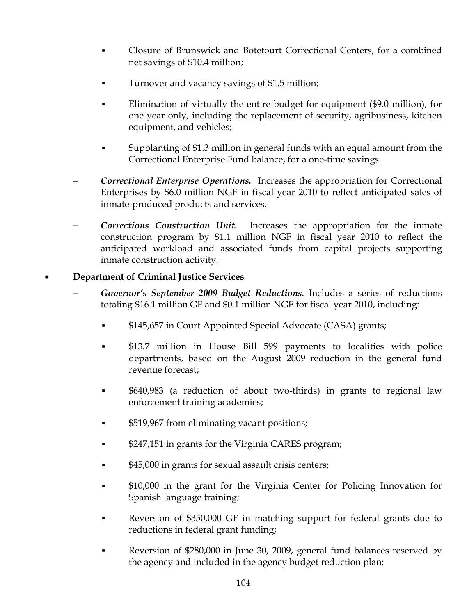- Closure of Brunswick and Botetourt Correctional Centers, for a combined net savings of \$10.4 million;
- **Turnover and vacancy savings of \$1.5 million;**
- Elimination of virtually the entire budget for equipment (\$9.0 million), for one year only, including the replacement of security, agribusiness, kitchen equipment, and vehicles;
- Supplanting of \$1.3 million in general funds with an equal amount from the Correctional Enterprise Fund balance, for a one-time savings.
- − *Correctional Enterprise Operations.* Increases the appropriation for Correctional Enterprises by \$6.0 million NGF in fiscal year 2010 to reflect anticipated sales of inmate-produced products and services.
- **Corrections Construction Unit.** Increases the appropriation for the inmate construction program by \$1.1 million NGF in fiscal year 2010 to reflect the anticipated workload and associated funds from capital projects supporting inmate construction activity.

### • **Department of Criminal Justice Services**

- − *Governor's September 2009 Budget Reductions.* Includes a series of reductions totaling \$16.1 million GF and \$0.1 million NGF for fiscal year 2010, including:
	- \$145,657 in Court Appointed Special Advocate (CASA) grants;
	- \$13.7 million in House Bill 599 payments to localities with police departments, based on the August 2009 reduction in the general fund revenue forecast;
	- \$640,983 (a reduction of about two-thirds) in grants to regional law enforcement training academies;
	- \$519,967 from eliminating vacant positions;
	- \$247,151 in grants for the Virginia CARES program;
	- \$45,000 in grants for sexual assault crisis centers;
	- \$10,000 in the grant for the Virginia Center for Policing Innovation for Spanish language training;
	- Reversion of \$350,000 GF in matching support for federal grants due to reductions in federal grant funding;
	- Reversion of \$280,000 in June 30, 2009, general fund balances reserved by the agency and included in the agency budget reduction plan;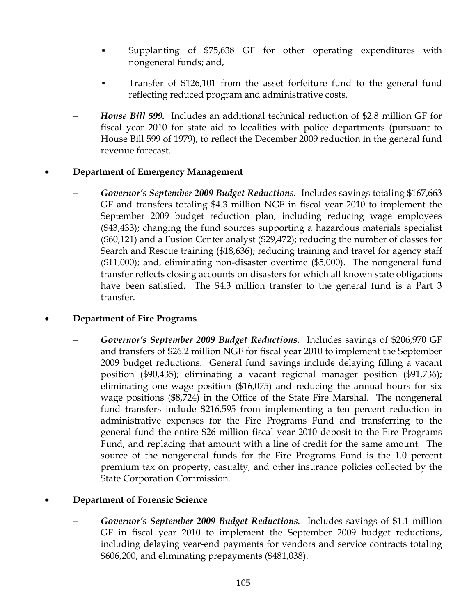- Supplanting of \$75,638 GF for other operating expenditures with nongeneral funds; and,
- Transfer of \$126,101 from the asset forfeiture fund to the general fund reflecting reduced program and administrative costs.
- − *House Bill 599.* Includes an additional technical reduction of \$2.8 million GF for fiscal year 2010 for state aid to localities with police departments (pursuant to House Bill 599 of 1979), to reflect the December 2009 reduction in the general fund revenue forecast.

### • **Department of Emergency Management**

− *Governor's September 2009 Budget Reductions.* Includes savings totaling \$167,663 GF and transfers totaling \$4.3 million NGF in fiscal year 2010 to implement the September 2009 budget reduction plan, including reducing wage employees (\$43,433); changing the fund sources supporting a hazardous materials specialist (\$60,121) and a Fusion Center analyst (\$29,472); reducing the number of classes for Search and Rescue training (\$18,636); reducing training and travel for agency staff (\$11,000); and, eliminating non-disaster overtime (\$5,000). The nongeneral fund transfer reflects closing accounts on disasters for which all known state obligations have been satisfied. The \$4.3 million transfer to the general fund is a Part 3 transfer.

### • **Department of Fire Programs**

− *Governor's September 2009 Budget Reductions.* Includes savings of \$206,970 GF and transfers of \$26.2 million NGF for fiscal year 2010 to implement the September 2009 budget reductions. General fund savings include delaying filling a vacant position (\$90,435); eliminating a vacant regional manager position (\$91,736); eliminating one wage position (\$16,075) and reducing the annual hours for six wage positions (\$8,724) in the Office of the State Fire Marshal. The nongeneral fund transfers include \$216,595 from implementing a ten percent reduction in administrative expenses for the Fire Programs Fund and transferring to the general fund the entire \$26 million fiscal year 2010 deposit to the Fire Programs Fund, and replacing that amount with a line of credit for the same amount. The source of the nongeneral funds for the Fire Programs Fund is the 1.0 percent premium tax on property, casualty, and other insurance policies collected by the State Corporation Commission.

### • **Department of Forensic Science**

− *Governor's September 2009 Budget Reductions.* Includes savings of \$1.1 million GF in fiscal year 2010 to implement the September 2009 budget reductions, including delaying year-end payments for vendors and service contracts totaling \$606,200, and eliminating prepayments (\$481,038).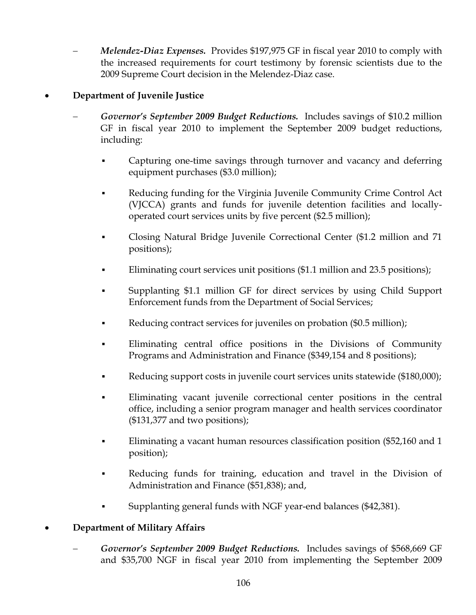− *Melendez-Diaz Expenses.* Provides \$197,975 GF in fiscal year 2010 to comply with the increased requirements for court testimony by forensic scientists due to the 2009 Supreme Court decision in the Melendez-Diaz case.

## • **Department of Juvenile Justice**

- − *Governor's September 2009 Budget Reductions.* Includes savings of \$10.2 million GF in fiscal year 2010 to implement the September 2009 budget reductions, including:
	- Capturing one-time savings through turnover and vacancy and deferring equipment purchases (\$3.0 million);
	- Reducing funding for the Virginia Juvenile Community Crime Control Act (VJCCA) grants and funds for juvenile detention facilities and locallyoperated court services units by five percent (\$2.5 million);
	- Closing Natural Bridge Juvenile Correctional Center (\$1.2 million and 71 positions);
	- Eliminating court services unit positions (\$1.1 million and 23.5 positions);
	- Supplanting \$1.1 million GF for direct services by using Child Support Enforcement funds from the Department of Social Services;
	- Reducing contract services for juveniles on probation (\$0.5 million);
	- Eliminating central office positions in the Divisions of Community Programs and Administration and Finance (\$349,154 and 8 positions);
	- Reducing support costs in juvenile court services units statewide (\$180,000);
	- Eliminating vacant juvenile correctional center positions in the central office, including a senior program manager and health services coordinator (\$131,377 and two positions);
	- Eliminating a vacant human resources classification position (\$52,160 and 1 position);
	- Reducing funds for training, education and travel in the Division of Administration and Finance (\$51,838); and,
	- Supplanting general funds with NGF year-end balances (\$42,381).

## • **Department of Military Affairs**

− *Governor's September 2009 Budget Reductions.* Includes savings of \$568,669 GF and \$35,700 NGF in fiscal year 2010 from implementing the September 2009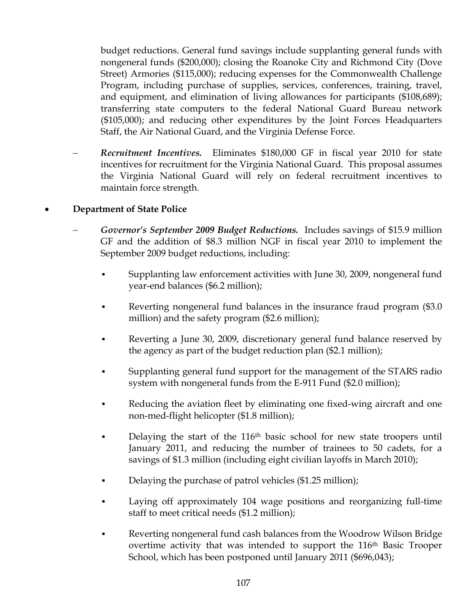budget reductions. General fund savings include supplanting general funds with nongeneral funds (\$200,000); closing the Roanoke City and Richmond City (Dove Street) Armories (\$115,000); reducing expenses for the Commonwealth Challenge Program, including purchase of supplies, services, conferences, training, travel, and equipment, and elimination of living allowances for participants (\$108,689); transferring state computers to the federal National Guard Bureau network (\$105,000); and reducing other expenditures by the Joint Forces Headquarters Staff, the Air National Guard, and the Virginia Defense Force.

− *Recruitment Incentives.* Eliminates \$180,000 GF in fiscal year 2010 for state incentives for recruitment for the Virginia National Guard. This proposal assumes the Virginia National Guard will rely on federal recruitment incentives to maintain force strength.

## • **Department of State Police**

- − *Governor's September 2009 Budget Reductions.* Includes savings of \$15.9 million GF and the addition of \$8.3 million NGF in fiscal year 2010 to implement the September 2009 budget reductions, including:
	- Supplanting law enforcement activities with June 30, 2009, nongeneral fund year-end balances (\$6.2 million);
	- Reverting nongeneral fund balances in the insurance fraud program (\$3.0) million) and the safety program (\$2.6 million);
	- Reverting a June 30, 2009, discretionary general fund balance reserved by the agency as part of the budget reduction plan (\$2.1 million);
	- Supplanting general fund support for the management of the STARS radio system with nongeneral funds from the E-911 Fund (\$2.0 million);
	- Reducing the aviation fleet by eliminating one fixed-wing aircraft and one non-med-flight helicopter (\$1.8 million);
	- Delaying the start of the  $116<sup>th</sup>$  basic school for new state troopers until January 2011, and reducing the number of trainees to 50 cadets, for a savings of \$1.3 million (including eight civilian layoffs in March 2010);
	- Delaying the purchase of patrol vehicles (\$1.25 million);
	- Laying off approximately 104 wage positions and reorganizing full-time staff to meet critical needs (\$1.2 million);
	- Reverting nongeneral fund cash balances from the Woodrow Wilson Bridge overtime activity that was intended to support the 116<sup>th</sup> Basic Trooper School, which has been postponed until January 2011 (\$696,043);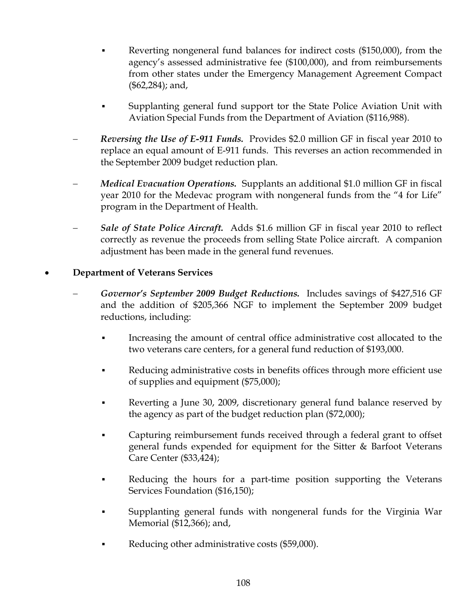- Reverting nongeneral fund balances for indirect costs (\$150,000), from the agency's assessed administrative fee (\$100,000), and from reimbursements from other states under the Emergency Management Agreement Compact (\$62,284); and,
- Supplanting general fund support tor the State Police Aviation Unit with Aviation Special Funds from the Department of Aviation (\$116,988).
- − *Reversing the Use of E-911 Funds.* Provides \$2.0 million GF in fiscal year 2010 to replace an equal amount of E-911 funds. This reverses an action recommended in the September 2009 budget reduction plan.
- − *Medical Evacuation Operations.* Supplants an additional \$1.0 million GF in fiscal year 2010 for the Medevac program with nongeneral funds from the "4 for Life" program in the Department of Health.
- − *Sale of State Police Aircraft.* Adds \$1.6 million GF in fiscal year 2010 to reflect correctly as revenue the proceeds from selling State Police aircraft. A companion adjustment has been made in the general fund revenues.

## • **Department of Veterans Services**

- − *Governor's September 2009 Budget Reductions.* Includes savings of \$427,516 GF and the addition of \$205,366 NGF to implement the September 2009 budget reductions, including:
	- Increasing the amount of central office administrative cost allocated to the two veterans care centers, for a general fund reduction of \$193,000.
	- Reducing administrative costs in benefits offices through more efficient use of supplies and equipment (\$75,000);
	- Reverting a June 30, 2009, discretionary general fund balance reserved by the agency as part of the budget reduction plan (\$72,000);
	- Capturing reimbursement funds received through a federal grant to offset general funds expended for equipment for the Sitter & Barfoot Veterans Care Center (\$33,424);
	- Reducing the hours for a part-time position supporting the Veterans Services Foundation (\$16,150);
	- Supplanting general funds with nongeneral funds for the Virginia War Memorial (\$12,366); and,
	- Reducing other administrative costs (\$59,000).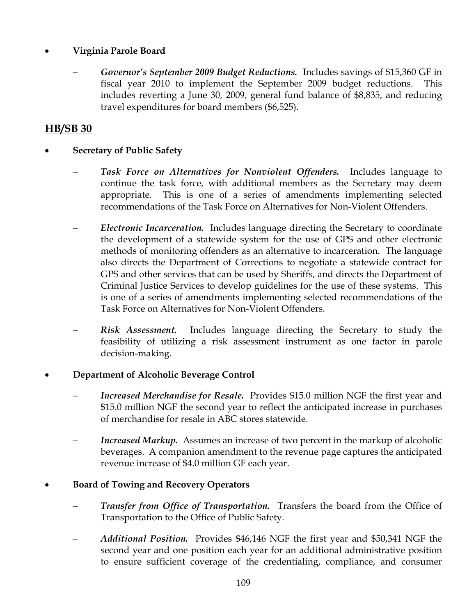## • **Virginia Parole Board**

− *Governor's September 2009 Budget Reductions.* Includes savings of \$15,360 GF in fiscal year 2010 to implement the September 2009 budget reductions. This includes reverting a June 30, 2009, general fund balance of \$8,835, and reducing travel expenditures for board members (\$6,525).

# **HB/SB 30**

- **Secretary of Public Safety** 
	- − *Task Force on Alternatives for Nonviolent Offenders.* Includes language to continue the task force, with additional members as the Secretary may deem appropriate. This is one of a series of amendments implementing selected recommendations of the Task Force on Alternatives for Non-Violent Offenders.
	- − *Electronic Incarceration.* Includes language directing the Secretary to coordinate the development of a statewide system for the use of GPS and other electronic methods of monitoring offenders as an alternative to incarceration. The language also directs the Department of Corrections to negotiate a statewide contract for GPS and other services that can be used by Sheriffs, and directs the Department of Criminal Justice Services to develop guidelines for the use of these systems. This is one of a series of amendments implementing selected recommendations of the Task Force on Alternatives for Non-Violent Offenders.
	- **Risk Assessment.** Includes language directing the Secretary to study the feasibility of utilizing a risk assessment instrument as one factor in parole decision-making.

### • **Department of Alcoholic Beverage Control**

- *Increased Merchandise for Resale.* Provides \$15.0 million NGF the first year and \$15.0 million NGF the second year to reflect the anticipated increase in purchases of merchandise for resale in ABC stores statewide.
- *Increased Markup.* Assumes an increase of two percent in the markup of alcoholic beverages. A companion amendment to the revenue page captures the anticipated revenue increase of \$4.0 million GF each year.

### • **Board of Towing and Recovery Operators**

- *Transfer from Office of Transportation.* Transfers the board from the Office of Transportation to the Office of Public Safety.
- − *Additional Position.* Provides \$46,146 NGF the first year and \$50,341 NGF the second year and one position each year for an additional administrative position to ensure sufficient coverage of the credentialing, compliance, and consumer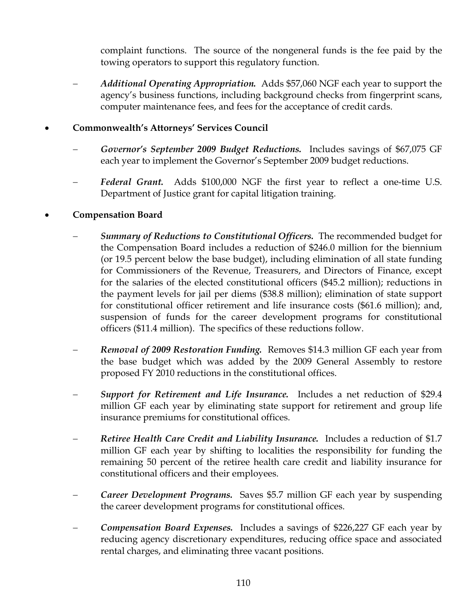complaint functions. The source of the nongeneral funds is the fee paid by the towing operators to support this regulatory function.

− *Additional Operating Appropriation.* Adds \$57,060 NGF each year to support the agency's business functions, including background checks from fingerprint scans, computer maintenance fees, and fees for the acceptance of credit cards.

## • **Commonwealth's Attorneys' Services Council**

- − *Governor's September 2009 Budget Reductions.* Includes savings of \$67,075 GF each year to implement the Governor's September 2009 budget reductions.
- Federal Grant. Adds \$100,000 NGF the first year to reflect a one-time U.S. Department of Justice grant for capital litigation training.

## • **Compensation Board**

- *Summary of Reductions to Constitutional Officers.* The recommended budget for the Compensation Board includes a reduction of \$246.0 million for the biennium (or 19.5 percent below the base budget), including elimination of all state funding for Commissioners of the Revenue, Treasurers, and Directors of Finance, except for the salaries of the elected constitutional officers (\$45.2 million); reductions in the payment levels for jail per diems (\$38.8 million); elimination of state support for constitutional officer retirement and life insurance costs (\$61.6 million); and, suspension of funds for the career development programs for constitutional officers (\$11.4 million). The specifics of these reductions follow.
- − *Removal of 2009 Restoration Funding.* Removes \$14.3 million GF each year from the base budget which was added by the 2009 General Assembly to restore proposed FY 2010 reductions in the constitutional offices.
- *Support for Retirement and Life Insurance.* Includes a net reduction of \$29.4 million GF each year by eliminating state support for retirement and group life insurance premiums for constitutional offices.
- − *Retiree Health Care Credit and Liability Insurance.* Includes a reduction of \$1.7 million GF each year by shifting to localities the responsibility for funding the remaining 50 percent of the retiree health care credit and liability insurance for constitutional officers and their employees.
- − *Career Development Programs.* Saves \$5.7 million GF each year by suspending the career development programs for constitutional offices.
- − *Compensation Board Expenses.* Includes a savings of \$226,227 GF each year by reducing agency discretionary expenditures, reducing office space and associated rental charges, and eliminating three vacant positions.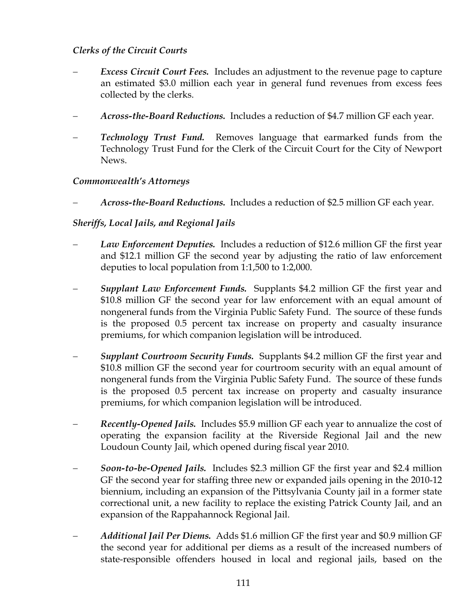## *Clerks of the Circuit Courts*

- *Excess Circuit Court Fees.* Includes an adjustment to the revenue page to capture an estimated \$3.0 million each year in general fund revenues from excess fees collected by the clerks.
- − *Across-the-Board Reductions.* Includes a reduction of \$4.7 million GF each year.
- *Technology Trust Fund.* Removes language that earmarked funds from the Technology Trust Fund for the Clerk of the Circuit Court for the City of Newport News.

## *Commonwealth's Attorneys*

− *Across-the-Board Reductions.* Includes a reduction of \$2.5 million GF each year.

## *Sheriffs, Local Jails, and Regional Jails*

- Law Enforcement Deputies. Includes a reduction of \$12.6 million GF the first year and \$12.1 million GF the second year by adjusting the ratio of law enforcement deputies to local population from 1:1,500 to 1:2,000.
- − *Supplant Law Enforcement Funds.* Supplants \$4.2 million GF the first year and \$10.8 million GF the second year for law enforcement with an equal amount of nongeneral funds from the Virginia Public Safety Fund. The source of these funds is the proposed 0.5 percent tax increase on property and casualty insurance premiums, for which companion legislation will be introduced.
- − *Supplant Courtroom Security Funds.* Supplants \$4.2 million GF the first year and \$10.8 million GF the second year for courtroom security with an equal amount of nongeneral funds from the Virginia Public Safety Fund. The source of these funds is the proposed 0.5 percent tax increase on property and casualty insurance premiums, for which companion legislation will be introduced.
- − *Recently-Opened Jails.* Includes \$5.9 million GF each year to annualize the cost of operating the expansion facility at the Riverside Regional Jail and the new Loudoun County Jail, which opened during fiscal year 2010.
- − *Soon-to-be-Opened Jails.* Includes \$2.3 million GF the first year and \$2.4 million GF the second year for staffing three new or expanded jails opening in the 2010-12 biennium, including an expansion of the Pittsylvania County jail in a former state correctional unit, a new facility to replace the existing Patrick County Jail, and an expansion of the Rappahannock Regional Jail.
- − *Additional Jail Per Diems.* Adds \$1.6 million GF the first year and \$0.9 million GF the second year for additional per diems as a result of the increased numbers of state-responsible offenders housed in local and regional jails, based on the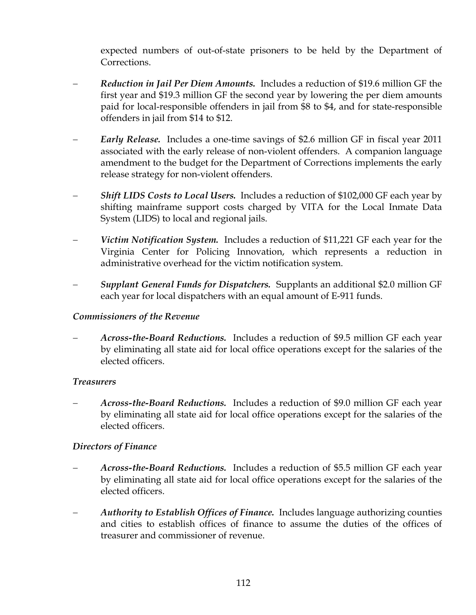expected numbers of out-of-state prisoners to be held by the Department of Corrections.

- − *Reduction in Jail Per Diem Amounts.* Includes a reduction of \$19.6 million GF the first year and \$19.3 million GF the second year by lowering the per diem amounts paid for local-responsible offenders in jail from \$8 to \$4, and for state-responsible offenders in jail from \$14 to \$12.
- − *Early Release.* Includes a one-time savings of \$2.6 million GF in fiscal year 2011 associated with the early release of non-violent offenders. A companion language amendment to the budget for the Department of Corrections implements the early release strategy for non-violent offenders.
- *Shift LIDS Costs to Local Users.* Includes a reduction of \$102,000 GF each year by shifting mainframe support costs charged by VITA for the Local Inmate Data System (LIDS) to local and regional jails.
- *Victim Notification System.* Includes a reduction of \$11,221 GF each year for the Virginia Center for Policing Innovation, which represents a reduction in administrative overhead for the victim notification system.
- − *Supplant General Funds for Dispatchers.* Supplants an additional \$2.0 million GF each year for local dispatchers with an equal amount of E-911 funds.

### *Commissioners of the Revenue*

− *Across-the-Board Reductions.* Includes a reduction of \$9.5 million GF each year by eliminating all state aid for local office operations except for the salaries of the elected officers.

### *Treasurers*

− *Across-the-Board Reductions.* Includes a reduction of \$9.0 million GF each year by eliminating all state aid for local office operations except for the salaries of the elected officers.

### *Directors of Finance*

- − *Across-the-Board Reductions.* Includes a reduction of \$5.5 million GF each year by eliminating all state aid for local office operations except for the salaries of the elected officers.
- *Authority to Establish Offices of Finance.* Includes language authorizing counties and cities to establish offices of finance to assume the duties of the offices of treasurer and commissioner of revenue.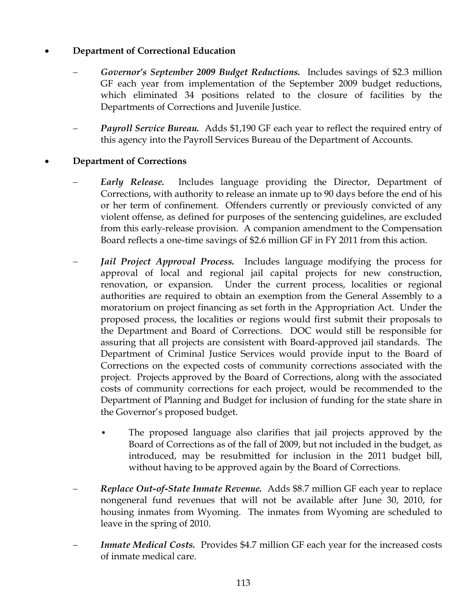## • **Department of Correctional Education**

- − *Governor's September 2009 Budget Reductions.* Includes savings of \$2.3 million GF each year from implementation of the September 2009 budget reductions, which eliminated 34 positions related to the closure of facilities by the Departments of Corrections and Juvenile Justice.
- *Payroll Service Bureau.* Adds \$1,190 GF each year to reflect the required entry of this agency into the Payroll Services Bureau of the Department of Accounts.

### • **Department of Corrections**

- *Early Release.* Includes language providing the Director, Department of Corrections, with authority to release an inmate up to 90 days before the end of his or her term of confinement. Offenders currently or previously convicted of any violent offense, as defined for purposes of the sentencing guidelines, are excluded from this early-release provision. A companion amendment to the Compensation Board reflects a one-time savings of \$2.6 million GF in FY 2011 from this action.
- *Jail Project Approval Process.* Includes language modifying the process for approval of local and regional jail capital projects for new construction, renovation, or expansion. Under the current process, localities or regional authorities are required to obtain an exemption from the General Assembly to a moratorium on project financing as set forth in the Appropriation Act. Under the proposed process, the localities or regions would first submit their proposals to the Department and Board of Corrections. DOC would still be responsible for assuring that all projects are consistent with Board-approved jail standards. The Department of Criminal Justice Services would provide input to the Board of Corrections on the expected costs of community corrections associated with the project. Projects approved by the Board of Corrections, along with the associated costs of community corrections for each project, would be recommended to the Department of Planning and Budget for inclusion of funding for the state share in the Governor's proposed budget.
	- The proposed language also clarifies that jail projects approved by the Board of Corrections as of the fall of 2009, but not included in the budget, as introduced, may be resubmitted for inclusion in the 2011 budget bill, without having to be approved again by the Board of Corrections.
- − *Replace Out-of-State Inmate Revenue.* Adds \$8.7 million GF each year to replace nongeneral fund revenues that will not be available after June 30, 2010, for housing inmates from Wyoming. The inmates from Wyoming are scheduled to leave in the spring of 2010.
- *Inmate Medical Costs.* Provides \$4.7 million GF each year for the increased costs of inmate medical care.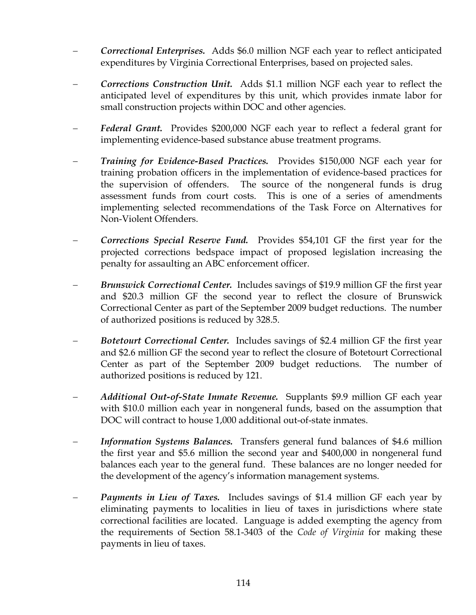- − *Correctional Enterprises.* Adds \$6.0 million NGF each year to reflect anticipated expenditures by Virginia Correctional Enterprises, based on projected sales.
- − *Corrections Construction Unit.* Adds \$1.1 million NGF each year to reflect the anticipated level of expenditures by this unit, which provides inmate labor for small construction projects within DOC and other agencies.
- − *Federal Grant.* Provides \$200,000 NGF each year to reflect a federal grant for implementing evidence-based substance abuse treatment programs.
- − *Training for Evidence-Based Practices.* Provides \$150,000 NGF each year for training probation officers in the implementation of evidence-based practices for the supervision of offenders. The source of the nongeneral funds is drug assessment funds from court costs. This is one of a series of amendments implementing selected recommendations of the Task Force on Alternatives for Non-Violent Offenders.
- − *Corrections Special Reserve Fund.* Provides \$54,101 GF the first year for the projected corrections bedspace impact of proposed legislation increasing the penalty for assaulting an ABC enforcement officer.
- *Brunswick Correctional Center.* Includes savings of \$19.9 million GF the first year and \$20.3 million GF the second year to reflect the closure of Brunswick Correctional Center as part of the September 2009 budget reductions. The number of authorized positions is reduced by 328.5.
- − *Botetourt Correctional Center.* Includes savings of \$2.4 million GF the first year and \$2.6 million GF the second year to reflect the closure of Botetourt Correctional Center as part of the September 2009 budget reductions. The number of authorized positions is reduced by 121.
- − *Additional Out-of-State Inmate Revenue.* Supplants \$9.9 million GF each year with \$10.0 million each year in nongeneral funds, based on the assumption that DOC will contract to house 1,000 additional out-of-state inmates.
- *Information Systems Balances.* Transfers general fund balances of \$4.6 million the first year and \$5.6 million the second year and \$400,000 in nongeneral fund balances each year to the general fund. These balances are no longer needed for the development of the agency's information management systems.
- *Payments in Lieu of Taxes.* Includes savings of \$1.4 million GF each year by eliminating payments to localities in lieu of taxes in jurisdictions where state correctional facilities are located. Language is added exempting the agency from the requirements of Section 58.1-3403 of the *Code of Virginia* for making these payments in lieu of taxes.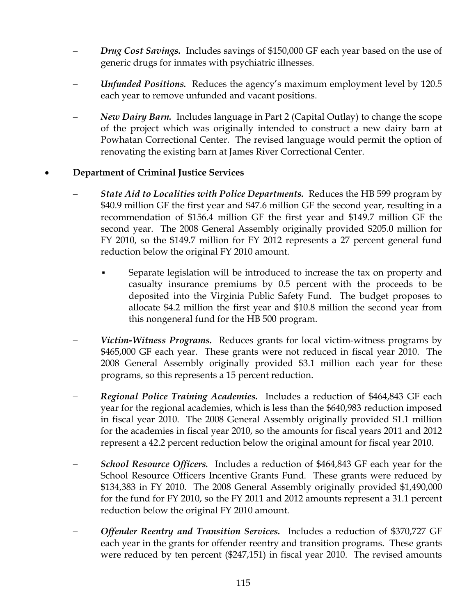- *Drug Cost Savings.* Includes savings of \$150,000 GF each year based on the use of generic drugs for inmates with psychiatric illnesses.
- − *Unfunded Positions.* Reduces the agency's maximum employment level by 120.5 each year to remove unfunded and vacant positions.
- *New Dairy Barn.* Includes language in Part 2 (Capital Outlay) to change the scope of the project which was originally intended to construct a new dairy barn at Powhatan Correctional Center. The revised language would permit the option of renovating the existing barn at James River Correctional Center.

## • **Department of Criminal Justice Services**

- *State Aid to Localities with Police Departments.* Reduces the HB 599 program by \$40.9 million GF the first year and \$47.6 million GF the second year, resulting in a recommendation of \$156.4 million GF the first year and \$149.7 million GF the second year. The 2008 General Assembly originally provided \$205.0 million for FY 2010, so the \$149.7 million for FY 2012 represents a 27 percent general fund reduction below the original FY 2010 amount.
	- Separate legislation will be introduced to increase the tax on property and casualty insurance premiums by 0.5 percent with the proceeds to be deposited into the Virginia Public Safety Fund. The budget proposes to allocate \$4.2 million the first year and \$10.8 million the second year from this nongeneral fund for the HB 500 program.
- *Victim-Witness Programs.* Reduces grants for local victim-witness programs by \$465,000 GF each year. These grants were not reduced in fiscal year 2010. The 2008 General Assembly originally provided \$3.1 million each year for these programs, so this represents a 15 percent reduction.
- − *Regional Police Training Academies.* Includes a reduction of \$464,843 GF each year for the regional academies, which is less than the \$640,983 reduction imposed in fiscal year 2010. The 2008 General Assembly originally provided \$1.1 million for the academies in fiscal year 2010, so the amounts for fiscal years 2011 and 2012 represent a 42.2 percent reduction below the original amount for fiscal year 2010.
- − *School Resource Officers.* Includes a reduction of \$464,843 GF each year for the School Resource Officers Incentive Grants Fund. These grants were reduced by \$134,383 in FY 2010. The 2008 General Assembly originally provided \$1,490,000 for the fund for FY 2010, so the FY 2011 and 2012 amounts represent a 31.1 percent reduction below the original FY 2010 amount.
- − *Offender Reentry and Transition Services.* Includes a reduction of \$370,727 GF each year in the grants for offender reentry and transition programs. These grants were reduced by ten percent (\$247,151) in fiscal year 2010. The revised amounts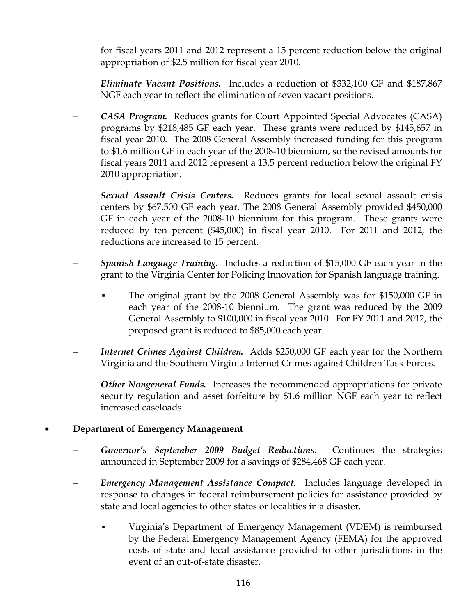for fiscal years 2011 and 2012 represent a 15 percent reduction below the original appropriation of \$2.5 million for fiscal year 2010.

- − *Eliminate Vacant Positions.* Includes a reduction of \$332,100 GF and \$187,867 NGF each year to reflect the elimination of seven vacant positions.
- − *CASA Program.* Reduces grants for Court Appointed Special Advocates (CASA) programs by \$218,485 GF each year. These grants were reduced by \$145,657 in fiscal year 2010. The 2008 General Assembly increased funding for this program to \$1.6 million GF in each year of the 2008-10 biennium, so the revised amounts for fiscal years 2011 and 2012 represent a 13.5 percent reduction below the original FY 2010 appropriation.
- **Sexual Assault Crisis Centers.** Reduces grants for local sexual assault crisis centers by \$67,500 GF each year. The 2008 General Assembly provided \$450,000 GF in each year of the 2008-10 biennium for this program. These grants were reduced by ten percent (\$45,000) in fiscal year 2010. For 2011 and 2012, the reductions are increased to 15 percent.
- *Spanish Language Training.* Includes a reduction of \$15,000 GF each year in the grant to the Virginia Center for Policing Innovation for Spanish language training.
	- The original grant by the 2008 General Assembly was for \$150,000 GF in each year of the 2008-10 biennium. The grant was reduced by the 2009 General Assembly to \$100,000 in fiscal year 2010. For FY 2011 and 2012, the proposed grant is reduced to \$85,000 each year.
- *Internet Crimes Against Children.* Adds \$250,000 GF each year for the Northern Virginia and the Southern Virginia Internet Crimes against Children Task Forces.
- *Other Nongeneral Funds.* Increases the recommended appropriations for private security regulation and asset forfeiture by \$1.6 million NGF each year to reflect increased caseloads.

## • **Department of Emergency Management**

- − *Governor's September 2009 Budget Reductions.* Continues the strategies announced in September 2009 for a savings of \$284,468 GF each year.
- − *Emergency Management Assistance Compact.* Includes language developed in response to changes in federal reimbursement policies for assistance provided by state and local agencies to other states or localities in a disaster.
	- Virginia's Department of Emergency Management (VDEM) is reimbursed by the Federal Emergency Management Agency (FEMA) for the approved costs of state and local assistance provided to other jurisdictions in the event of an out-of-state disaster.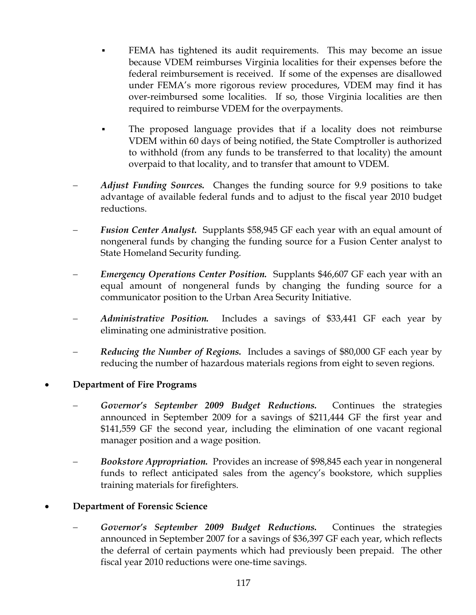- FEMA has tightened its audit requirements. This may become an issue because VDEM reimburses Virginia localities for their expenses before the federal reimbursement is received. If some of the expenses are disallowed under FEMA's more rigorous review procedures, VDEM may find it has over-reimbursed some localities. If so, those Virginia localities are then required to reimburse VDEM for the overpayments.
- The proposed language provides that if a locality does not reimburse VDEM within 60 days of being notified, the State Comptroller is authorized to withhold (from any funds to be transferred to that locality) the amount overpaid to that locality, and to transfer that amount to VDEM.
- *Adjust Funding Sources.* Changes the funding source for 9.9 positions to take advantage of available federal funds and to adjust to the fiscal year 2010 budget reductions.
- Fusion Center Analyst. Supplants \$58,945 GF each year with an equal amount of nongeneral funds by changing the funding source for a Fusion Center analyst to State Homeland Security funding.
- *Emergency Operations Center Position.* Supplants \$46,607 GF each year with an equal amount of nongeneral funds by changing the funding source for a communicator position to the Urban Area Security Initiative.
- *Administrative Position.* Includes a savings of \$33,441 GF each year by eliminating one administrative position.
- *Reducing the Number of Regions.* Includes a savings of \$80,000 GF each year by reducing the number of hazardous materials regions from eight to seven regions.

## • **Department of Fire Programs**

- − *Governor's September 2009 Budget Reductions.* Continues the strategies announced in September 2009 for a savings of \$211,444 GF the first year and \$141,559 GF the second year, including the elimination of one vacant regional manager position and a wage position.
- − *Bookstore Appropriation.* Provides an increase of \$98,845 each year in nongeneral funds to reflect anticipated sales from the agency's bookstore, which supplies training materials for firefighters.

### • **Department of Forensic Science**

− *Governor's September 2009 Budget Reductions.* Continues the strategies announced in September 2007 for a savings of \$36,397 GF each year, which reflects the deferral of certain payments which had previously been prepaid. The other fiscal year 2010 reductions were one-time savings.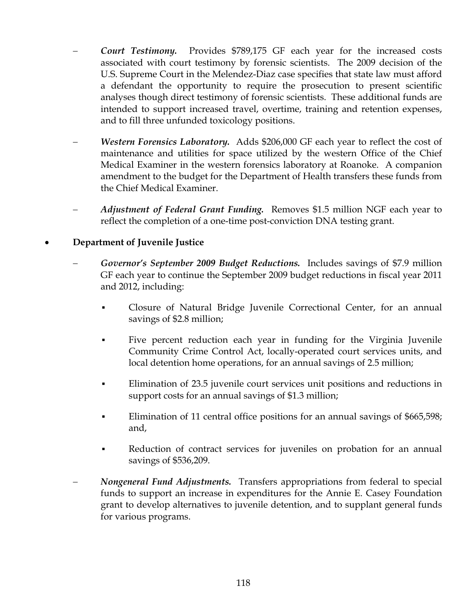- *Court Testimony.* Provides \$789,175 GF each year for the increased costs associated with court testimony by forensic scientists. The 2009 decision of the U.S. Supreme Court in the Melendez-Diaz case specifies that state law must afford a defendant the opportunity to require the prosecution to present scientific analyses though direct testimony of forensic scientists. These additional funds are intended to support increased travel, overtime, training and retention expenses, and to fill three unfunded toxicology positions.
- *Western Forensics Laboratory.* Adds \$206,000 GF each year to reflect the cost of maintenance and utilities for space utilized by the western Office of the Chief Medical Examiner in the western forensics laboratory at Roanoke. A companion amendment to the budget for the Department of Health transfers these funds from the Chief Medical Examiner.
- *Adjustment of Federal Grant Funding.* Removes \$1.5 million NGF each year to reflect the completion of a one-time post-conviction DNA testing grant.

## • **Department of Juvenile Justice**

- − *Governor's September 2009 Budget Reductions.* Includes savings of \$7.9 million GF each year to continue the September 2009 budget reductions in fiscal year 2011 and 2012, including:
	- Closure of Natural Bridge Juvenile Correctional Center, for an annual savings of \$2.8 million;
	- Five percent reduction each year in funding for the Virginia Juvenile Community Crime Control Act, locally-operated court services units, and local detention home operations, for an annual savings of 2.5 million;
	- **Elimination of 23.5 juvenile court services unit positions and reductions in** support costs for an annual savings of \$1.3 million;
	- Elimination of 11 central office positions for an annual savings of \$665,598; and,
	- Reduction of contract services for juveniles on probation for an annual savings of \$536,209.
- *Nongeneral Fund Adjustments.* Transfers appropriations from federal to special funds to support an increase in expenditures for the Annie E. Casey Foundation grant to develop alternatives to juvenile detention, and to supplant general funds for various programs.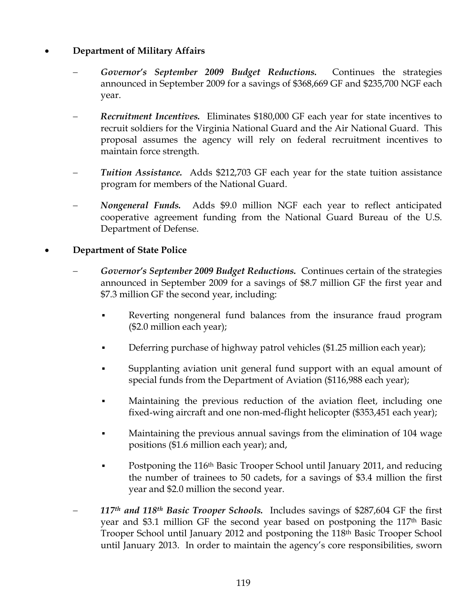## • **Department of Military Affairs**

- Governor's September 2009 Budget Reductions. Continues the strategies announced in September 2009 for a savings of \$368,669 GF and \$235,700 NGF each year.
- − *Recruitment Incentives.* Eliminates \$180,000 GF each year for state incentives to recruit soldiers for the Virginia National Guard and the Air National Guard. This proposal assumes the agency will rely on federal recruitment incentives to maintain force strength.
- **Tuition Assistance.** Adds \$212,703 GF each year for the state tuition assistance program for members of the National Guard.
- − *Nongeneral Funds.* Adds \$9.0 million NGF each year to reflect anticipated cooperative agreement funding from the National Guard Bureau of the U.S. Department of Defense.

## • **Department of State Police**

- − *Governor's September 2009 Budget Reductions.* Continues certain of the strategies announced in September 2009 for a savings of \$8.7 million GF the first year and \$7.3 million GF the second year, including:
	- Reverting nongeneral fund balances from the insurance fraud program (\$2.0 million each year);
	- **•** Deferring purchase of highway patrol vehicles (\$1.25 million each year);
	- Supplanting aviation unit general fund support with an equal amount of special funds from the Department of Aviation (\$116,988 each year);
	- Maintaining the previous reduction of the aviation fleet, including one fixed-wing aircraft and one non-med-flight helicopter (\$353,451 each year);
	- Maintaining the previous annual savings from the elimination of 104 wage positions (\$1.6 million each year); and,
	- Postponing the 116<sup>th</sup> Basic Trooper School until January 2011, and reducing the number of trainees to 50 cadets, for a savings of \$3.4 million the first year and \$2.0 million the second year.
- 117<sup>th</sup> and 118<sup>th</sup> Basic Trooper Schools. Includes savings of \$287,604 GF the first year and \$3.1 million GF the second year based on postponing the 117th Basic Trooper School until January 2012 and postponing the 118th Basic Trooper School until January 2013. In order to maintain the agency's core responsibilities, sworn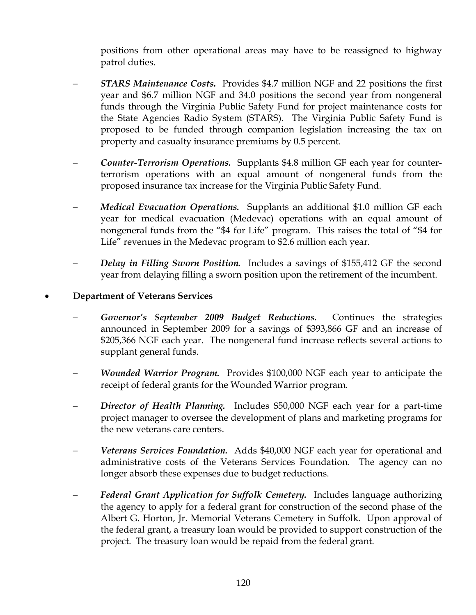positions from other operational areas may have to be reassigned to highway patrol duties.

- − *STARS Maintenance Costs.* Provides \$4.7 million NGF and 22 positions the first year and \$6.7 million NGF and 34.0 positions the second year from nongeneral funds through the Virginia Public Safety Fund for project maintenance costs for the State Agencies Radio System (STARS). The Virginia Public Safety Fund is proposed to be funded through companion legislation increasing the tax on property and casualty insurance premiums by 0.5 percent.
- − *Counter-Terrorism Operations.* Supplants \$4.8 million GF each year for counterterrorism operations with an equal amount of nongeneral funds from the proposed insurance tax increase for the Virginia Public Safety Fund.
- *Medical Evacuation Operations.* Supplants an additional \$1.0 million GF each year for medical evacuation (Medevac) operations with an equal amount of nongeneral funds from the "\$4 for Life" program. This raises the total of "\$4 for Life" revenues in the Medevac program to \$2.6 million each year.
- *Delay in Filling Sworn Position.* Includes a savings of \$155,412 GF the second year from delaying filling a sworn position upon the retirement of the incumbent.

### • **Department of Veterans Services**

- Governor's September 2009 Budget Reductions. Continues the strategies announced in September 2009 for a savings of \$393,866 GF and an increase of \$205,366 NGF each year. The nongeneral fund increase reflects several actions to supplant general funds.
- − *Wounded Warrior Program.* Provides \$100,000 NGF each year to anticipate the receipt of federal grants for the Wounded Warrior program.
- − *Director of Health Planning.* Includes \$50,000 NGF each year for a part-time project manager to oversee the development of plans and marketing programs for the new veterans care centers.
- *Veterans Services Foundation.* Adds \$40,000 NGF each year for operational and administrative costs of the Veterans Services Foundation. The agency can no longer absorb these expenses due to budget reductions.
- Federal Grant Application for Suffolk Cemetery. Includes language authorizing the agency to apply for a federal grant for construction of the second phase of the Albert G. Horton, Jr. Memorial Veterans Cemetery in Suffolk. Upon approval of the federal grant, a treasury loan would be provided to support construction of the project. The treasury loan would be repaid from the federal grant.